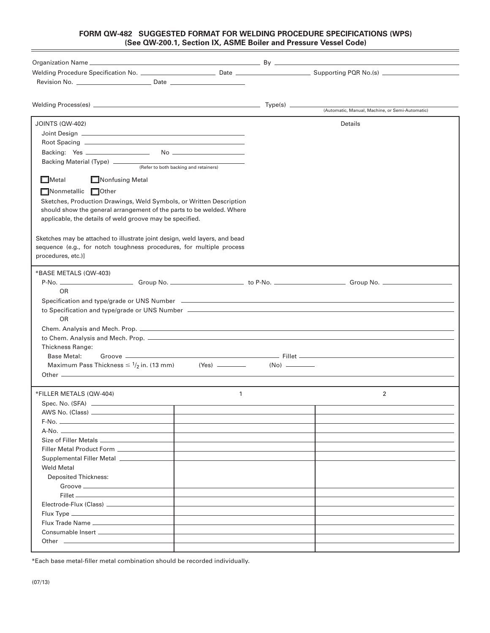## **FORM QW-482 SUGGESTED FORMAT FOR WELDING PROCEDURE SPECIFICATIONS (WPS) (See QW-200.1, Section IX, ASME Boiler and Pressure Vessel Code)**

| <b>JOINTS (QW-402)</b>                                                         |  | Details        |  |  |  |  |  |  |  |  |  |
|--------------------------------------------------------------------------------|--|----------------|--|--|--|--|--|--|--|--|--|
|                                                                                |  |                |  |  |  |  |  |  |  |  |  |
|                                                                                |  |                |  |  |  |  |  |  |  |  |  |
|                                                                                |  |                |  |  |  |  |  |  |  |  |  |
| Backing Material (Type) _____________<br>(Refer to both backing and retainers) |  |                |  |  |  |  |  |  |  |  |  |
|                                                                                |  |                |  |  |  |  |  |  |  |  |  |
| $\Box$ Metal<br>$\Box$ Nonfusing Metal                                         |  |                |  |  |  |  |  |  |  |  |  |
| Nonmetallic Other                                                              |  |                |  |  |  |  |  |  |  |  |  |
| Sketches, Production Drawings, Weld Symbols, or Written Description            |  |                |  |  |  |  |  |  |  |  |  |
| should show the general arrangement of the parts to be welded. Where           |  |                |  |  |  |  |  |  |  |  |  |
| applicable, the details of weld groove may be specified.                       |  |                |  |  |  |  |  |  |  |  |  |
|                                                                                |  |                |  |  |  |  |  |  |  |  |  |
| Sketches may be attached to illustrate joint design, weld layers, and bead     |  |                |  |  |  |  |  |  |  |  |  |
| sequence (e.g., for notch toughness procedures, for multiple process           |  |                |  |  |  |  |  |  |  |  |  |
| procedures, etc.)]                                                             |  |                |  |  |  |  |  |  |  |  |  |
| *BASE METALS (QW-403)                                                          |  |                |  |  |  |  |  |  |  |  |  |
|                                                                                |  |                |  |  |  |  |  |  |  |  |  |
| <b>OR</b>                                                                      |  |                |  |  |  |  |  |  |  |  |  |
|                                                                                |  |                |  |  |  |  |  |  |  |  |  |
|                                                                                |  |                |  |  |  |  |  |  |  |  |  |
| OR                                                                             |  |                |  |  |  |  |  |  |  |  |  |
|                                                                                |  |                |  |  |  |  |  |  |  |  |  |
|                                                                                |  |                |  |  |  |  |  |  |  |  |  |
| <b>Thickness Range:</b>                                                        |  |                |  |  |  |  |  |  |  |  |  |
| <b>Base Metal:</b>                                                             |  |                |  |  |  |  |  |  |  |  |  |
| Maximum Pass Thickness $\leq 1/2$ in. (13 mm) (Yes) _______                    |  |                |  |  |  |  |  |  |  |  |  |
| Other $\overline{\phantom{a}}$                                                 |  |                |  |  |  |  |  |  |  |  |  |
|                                                                                |  |                |  |  |  |  |  |  |  |  |  |
| *FILLER METALS (QW-404)<br>$\mathbf{1}$                                        |  | $\overline{2}$ |  |  |  |  |  |  |  |  |  |
|                                                                                |  |                |  |  |  |  |  |  |  |  |  |
|                                                                                |  |                |  |  |  |  |  |  |  |  |  |
|                                                                                |  |                |  |  |  |  |  |  |  |  |  |
|                                                                                |  |                |  |  |  |  |  |  |  |  |  |
|                                                                                |  |                |  |  |  |  |  |  |  |  |  |
| Filler Metal Product Form ___________                                          |  |                |  |  |  |  |  |  |  |  |  |
| Supplemental Filler Metal __________                                           |  |                |  |  |  |  |  |  |  |  |  |
| <b>Weld Metal</b>                                                              |  |                |  |  |  |  |  |  |  |  |  |
| <b>Deposited Thickness:</b>                                                    |  |                |  |  |  |  |  |  |  |  |  |
|                                                                                |  |                |  |  |  |  |  |  |  |  |  |
|                                                                                |  |                |  |  |  |  |  |  |  |  |  |
| Electrode-Flux (Class) _____________                                           |  |                |  |  |  |  |  |  |  |  |  |
|                                                                                |  |                |  |  |  |  |  |  |  |  |  |
|                                                                                |  |                |  |  |  |  |  |  |  |  |  |
|                                                                                |  |                |  |  |  |  |  |  |  |  |  |
|                                                                                |  |                |  |  |  |  |  |  |  |  |  |

\*Each base metal-filler metal combination should be recorded individually.